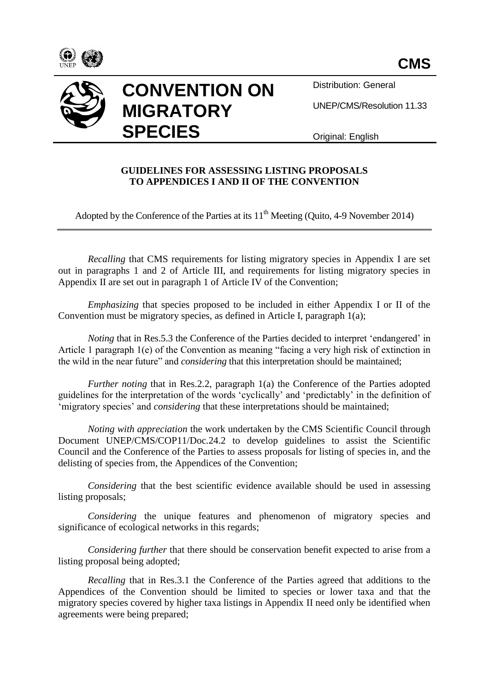





Distribution: General

UNEP/CMS/Resolution 11.33

Original: English

## **GUIDELINES FOR ASSESSING LISTING PROPOSALS TO APPENDICES I AND II OF THE CONVENTION**

Adopted by the Conference of the Parties at its  $11<sup>th</sup>$  Meeting (Quito, 4-9 November 2014)

*Recalling* that CMS requirements for listing migratory species in Appendix I are set out in paragraphs 1 and 2 of Article III, and requirements for listing migratory species in Appendix II are set out in paragraph 1 of Article IV of the Convention;

*Emphasizing* that species proposed to be included in either Appendix I or II of the Convention must be migratory species, as defined in Article I, paragraph 1(a);

*Noting* that in Res. 5.3 the Conference of the Parties decided to interpret 'endangered' in Article 1 paragraph 1(e) of the Convention as meaning "facing a very high risk of extinction in the wild in the near future" and *considering* that this interpretation should be maintained;

*Further noting* that in Res.2.2, paragraph 1(a) the Conference of the Parties adopted guidelines for the interpretation of the words 'cyclically' and 'predictably' in the definition of 'migratory species' and *considering* that these interpretations should be maintained;

*Noting with appreciation* the work undertaken by the CMS Scientific Council through Document UNEP/CMS/COP11/Doc.24.2 to develop guidelines to assist the Scientific Council and the Conference of the Parties to assess proposals for listing of species in, and the delisting of species from, the Appendices of the Convention;

*Considering* that the best scientific evidence available should be used in assessing listing proposals;

*Considering* the unique features and phenomenon of migratory species and significance of ecological networks in this regards;

*Considering further* that there should be conservation benefit expected to arise from a listing proposal being adopted;

*Recalling* that in Res.3.1 the Conference of the Parties agreed that additions to the Appendices of the Convention should be limited to species or lower taxa and that the migratory species covered by higher taxa listings in Appendix II need only be identified when agreements were being prepared;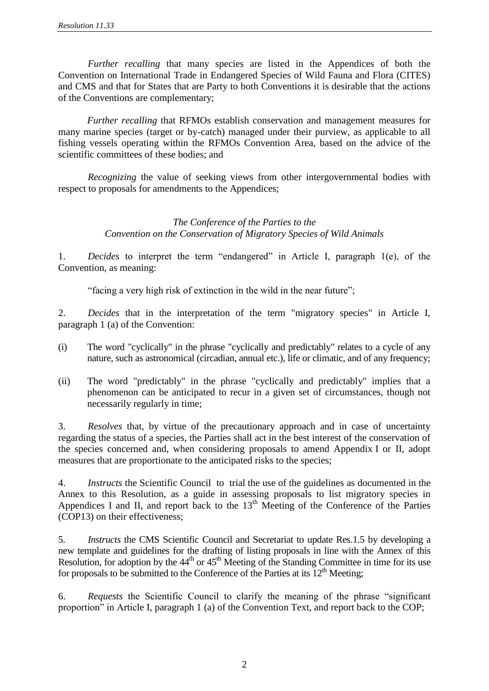*Further recalling* that many species are listed in the Appendices of both the Convention on International Trade in Endangered Species of Wild Fauna and Flora (CITES) and CMS and that for States that are Party to both Conventions it is desirable that the actions of the Conventions are complementary;

*Further recalling* that RFMOs establish conservation and management measures for many marine species (target or by-catch) managed under their purview, as applicable to all fishing vessels operating within the RFMOs Convention Area, based on the advice of the scientific committees of these bodies; and

*Recognizing* the value of seeking views from other intergovernmental bodies with respect to proposals for amendments to the Appendices;

> *The Conference of the Parties to the Convention on the Conservation of Migratory Species of Wild Animals*

1. *Decides* to interpret the term "endangered" in Article I, paragraph 1(e), of the Convention, as meaning:

"facing a very high risk of extinction in the wild in the near future";

2. *Decides* that in the interpretation of the term "migratory species" in Article I, paragraph 1 (a) of the Convention:

- (i) The word "cyclically" in the phrase "cyclically and predictably" relates to a cycle of any nature, such as astronomical (circadian, annual etc.), life or climatic, and of any frequency;
- (ii) The word "predictably" in the phrase "cyclically and predictably" implies that a phenomenon can be anticipated to recur in a given set of circumstances, though not necessarily regularly in time;

3. *Resolves* that, by virtue of the precautionary approach and in case of uncertainty regarding the status of a species, the Parties shall act in the best interest of the conservation of the species concerned and, when considering proposals to amend Appendix I or II, adopt measures that are proportionate to the anticipated risks to the species;

4. *Instructs* the Scientific Council to trial the use of the guidelines as documented in the Annex to this Resolution, as a guide in assessing proposals to list migratory species in Appendices I and II, and report back to the  $13<sup>th</sup>$  Meeting of the Conference of the Parties (COP13) on their effectiveness;

5. *Instructs* the CMS Scientific Council and Secretariat to update Res.1.5 by developing a new template and guidelines for the drafting of listing proposals in line with the Annex of this Resolution, for adoption by the  $44<sup>th</sup>$  or  $45<sup>th</sup>$  Meeting of the Standing Committee in time for its use for proposals to be submitted to the Conference of the Parties at its  $12<sup>th</sup>$  Meeting;

6. *Requests* the Scientific Council to clarify the meaning of the phrase "significant proportion" in Article I, paragraph 1 (a) of the Convention Text, and report back to the COP;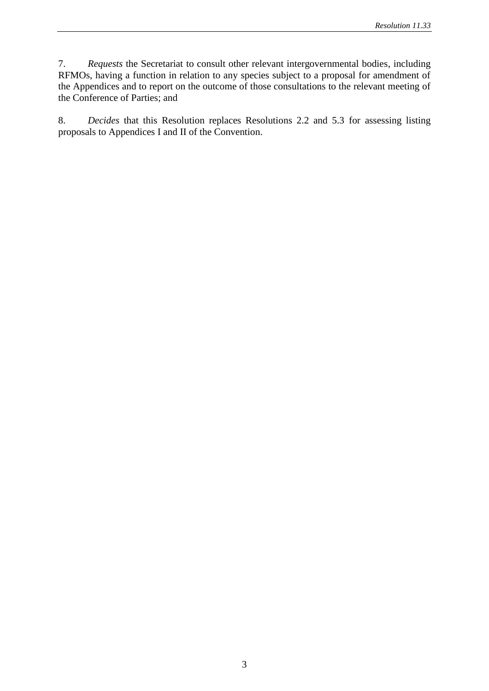7. *Requests* the Secretariat to consult other relevant intergovernmental bodies, including RFMOs, having a function in relation to any species subject to a proposal for amendment of the Appendices and to report on the outcome of those consultations to the relevant meeting of the Conference of Parties; and

8. *Decides* that this Resolution replaces Resolutions 2.2 and 5.3 for assessing listing proposals to Appendices I and II of the Convention.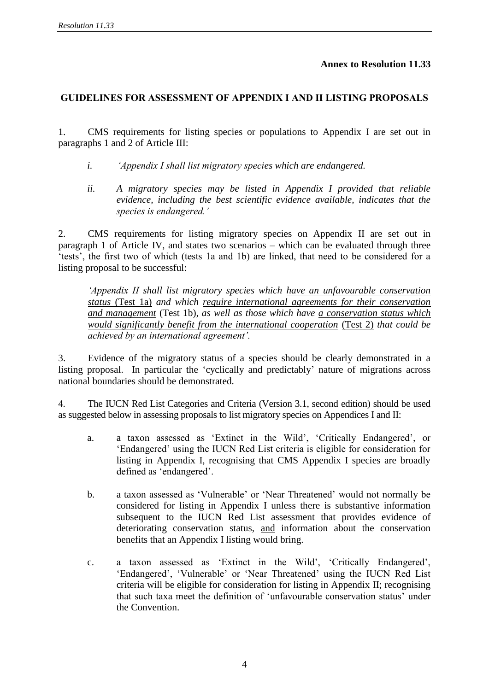**Annex to Resolution 11.33**

## **GUIDELINES FOR ASSESSMENT OF APPENDIX I AND II LISTING PROPOSALS**

1. CMS requirements for listing species or populations to Appendix I are set out in paragraphs 1 and 2 of Article III:

- *i. 'Appendix I shall list migratory species which are endangered.*
- *ii. A migratory species may be listed in Appendix I provided that reliable evidence, including the best scientific evidence available, indicates that the species is endangered.'*

2. CMS requirements for listing migratory species on Appendix II are set out in paragraph 1 of Article IV, and states two scenarios – which can be evaluated through three 'tests', the first two of which (tests 1a and 1b) are linked, that need to be considered for a listing proposal to be successful:

*'Appendix II shall list migratory species which have an unfavourable conservation status* (Test 1a) *and which require international agreements for their conservation and management* (Test 1b)*, as well as those which have a conservation status which would significantly benefit from the international cooperation* (Test 2) *that could be achieved by an international agreement'.*

3. Evidence of the migratory status of a species should be clearly demonstrated in a listing proposal. In particular the 'cyclically and predictably' nature of migrations across national boundaries should be demonstrated.

4. The IUCN Red List Categories and Criteria (Version 3.1, second edition) should be used as suggested below in assessing proposals to list migratory species on Appendices I and II:

- a. a taxon assessed as 'Extinct in the Wild', 'Critically Endangered', or 'Endangered' using the IUCN Red List criteria is eligible for consideration for listing in Appendix I, recognising that CMS Appendix I species are broadly defined as 'endangered'.
- b. a taxon assessed as 'Vulnerable' or 'Near Threatened' would not normally be considered for listing in Appendix I unless there is substantive information subsequent to the IUCN Red List assessment that provides evidence of deteriorating conservation status, and information about the conservation benefits that an Appendix I listing would bring.
- c. a taxon assessed as 'Extinct in the Wild', 'Critically Endangered', 'Endangered', 'Vulnerable' or 'Near Threatened' using the IUCN Red List criteria will be eligible for consideration for listing in Appendix II; recognising that such taxa meet the definition of 'unfavourable conservation status' under the Convention.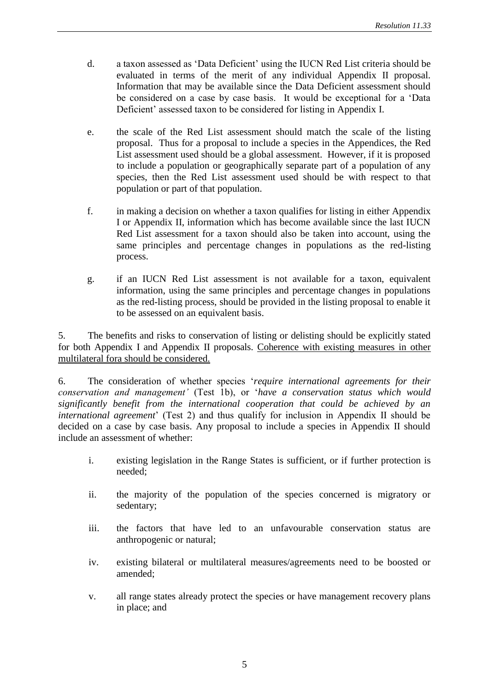- d. a taxon assessed as 'Data Deficient' using the IUCN Red List criteria should be evaluated in terms of the merit of any individual Appendix II proposal. Information that may be available since the Data Deficient assessment should be considered on a case by case basis. It would be exceptional for a 'Data Deficient' assessed taxon to be considered for listing in Appendix I.
- e. the scale of the Red List assessment should match the scale of the listing proposal. Thus for a proposal to include a species in the Appendices, the Red List assessment used should be a global assessment. However, if it is proposed to include a population or geographically separate part of a population of any species, then the Red List assessment used should be with respect to that population or part of that population.
- f. in making a decision on whether a taxon qualifies for listing in either Appendix I or Appendix II, information which has become available since the last IUCN Red List assessment for a taxon should also be taken into account, using the same principles and percentage changes in populations as the red-listing process.
- g. if an IUCN Red List assessment is not available for a taxon, equivalent information, using the same principles and percentage changes in populations as the red-listing process, should be provided in the listing proposal to enable it to be assessed on an equivalent basis.

5. The benefits and risks to conservation of listing or delisting should be explicitly stated for both Appendix I and Appendix II proposals. Coherence with existing measures in other multilateral fora should be considered.

6. The consideration of whether species '*require international agreements for their conservation and management'* (Test 1b), or '*have a conservation status which would significantly benefit from the international cooperation that could be achieved by an international agreement*' (Test 2) and thus qualify for inclusion in Appendix II should be decided on a case by case basis. Any proposal to include a species in Appendix II should include an assessment of whether:

- i. existing legislation in the Range States is sufficient, or if further protection is needed;
- ii. the majority of the population of the species concerned is migratory or sedentary;
- iii. the factors that have led to an unfavourable conservation status are anthropogenic or natural;
- iv. existing bilateral or multilateral measures/agreements need to be boosted or amended;
- v. all range states already protect the species or have management recovery plans in place; and